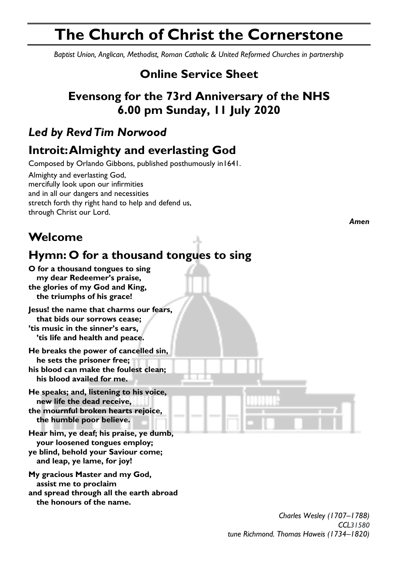# **The Church of Christ the Cornerstone**

*Baptist Union, Anglican, Methodist, Roman Catholic & United Reformed Churches in partnership*

# **Online Service Sheet**

# **Evensong for the 73rd Anniversary of the NHS 6.00 pm Sunday, 11 July 2020**

# *Led by Revd Tim Norwood*

# **Introit: Almighty and everlasting God**

Composed by Orlando Gibbons, published posthumously in1641.

Almighty and everlasting God, mercifully look upon our infirmities and in all our dangers and necessities stretch forth thy right hand to help and defend us, through Christ our Lord.

**Welcome**

# **Hymn: O for a thousand tongues to sing**

**O for a thousand tongues to sing my dear Redeemer's praise, the glories of my God and King, the triumphs of his grace!**

**Jesus! the name that charms our fears, that bids our sorrows cease; 'tis music in the sinner's ears, 'tis life and health and peace.**

**He breaks the power of cancelled sin, he sets the prisoner free; his blood can make the foulest clean; his blood availed for me.**

**He speaks; and, listening to his voice, new life the dead receive,**

**the mournful broken hearts rejoice, the humble poor believe.**

**Hear him, ye deaf; his praise, ye dumb, your loosened tongues employ; ye blind, behold your Saviour come; and leap, ye lame, for joy!**

**My gracious Master and my God, assist me to proclaim and spread through all the earth abroad the honours of the name.**

*Amen*

*Charles Wesley (1707–1788) CCL31580 tune Richmond. Thomas Haweis (1734–1820)*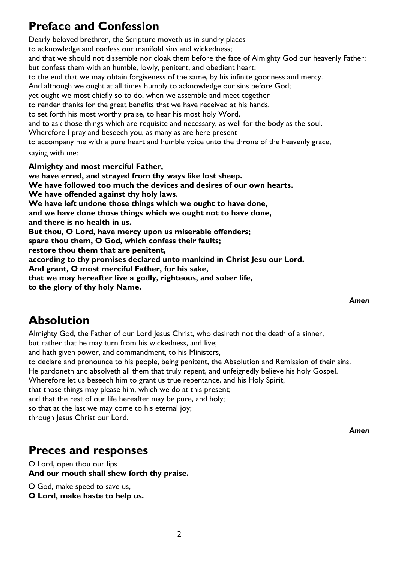# **Preface and Confession**

Dearly beloved brethren, the Scripture moveth us in sundry places to acknowledge and confess our manifold sins and wickedness; and that we should not dissemble nor cloak them before the face of Almighty God our heavenly Father; but confess them with an humble, lowly, penitent, and obedient heart; to the end that we may obtain forgiveness of the same, by his infinite goodness and mercy. And although we ought at all times humbly to acknowledge our sins before God; yet ought we most chiefly so to do, when we assemble and meet together to render thanks for the great benefits that we have received at his hands, to set forth his most worthy praise, to hear his most holy Word, and to ask those things which are requisite and necessary, as well for the body as the soul. Wherefore I pray and beseech you, as many as are here present to accompany me with a pure heart and humble voice unto the throne of the heavenly grace, saying with me: **Almighty and most merciful Father, we have erred, and strayed from thy ways like lost sheep. We have followed too much the devices and desires of our own hearts. We have offended against thy holy laws. We have left undone those things which we ought to have done, and we have done those things which we ought not to have done, and there is no health in us.**

**But thou, O Lord, have mercy upon us miserable offenders;**

**spare thou them, O God, which confess their faults;**

**restore thou them that are penitent,**

**according to thy promises declared unto mankind in Christ Jesu our Lord.**

**And grant, O most merciful Father, for his sake,**

**that we may hereafter live a godly, righteous, and sober life,**

**to the glory of thy holy Name.**

#### *Amen*

## **Absolution**

Almighty God, the Father of our Lord Jesus Christ, who desireth not the death of a sinner,

but rather that he may turn from his wickedness, and live;

and hath given power, and commandment, to his Ministers,

to declare and pronounce to his people, being penitent, the Absolution and Remission of their sins.

He pardoneth and absolveth all them that truly repent, and unfeignedly believe his holy Gospel.

Wherefore let us beseech him to grant us true repentance, and his Holy Spirit,

that those things may please him, which we do at this present;

and that the rest of our life hereafter may be pure, and holy;

so that at the last we may come to his eternal joy;

through Jesus Christ our Lord.

#### *Amen*

### **Preces and responses**

O Lord, open thou our lips **And our mouth shall shew forth thy praise.**

O God, make speed to save us,

**O Lord, make haste to help us.**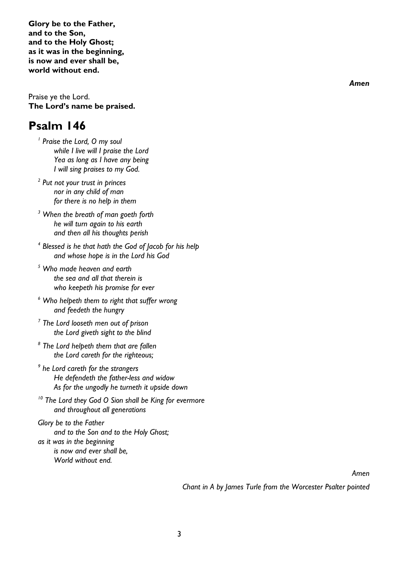**Glory be to the Father, and to the Son, and to the Holy Ghost; as it was in the beginning, is now and ever shall be, world without end.**

Praise ye the Lord. **The Lord's name be praised.**

### **Psalm 146**

*1 Praise the Lord, O my soul while I live will I praise the Lord Yea as long as I have any being I will sing praises to my God.*

*2 Put not your trust in princes nor in any child of man for there is no help in them*

*<sup>3</sup> When the breath of man goeth forth he will turn again to his earth and then all his thoughts perish*

*4 Blessed is he that hath the God of Jacob for his help and whose hope is in the Lord his God*

*<sup>5</sup> Who made heaven and earth the sea and all that therein is who keepeth his promise for ever*

*<sup>6</sup> Who helpeth them to right that suffer wrong and feedeth the hungry*

*7 The Lord looseth men out of prison the Lord giveth sight to the blind*

- *8 The Lord helpeth them that are fallen the Lord careth for the righteous;*
- *9 he Lord careth for the strangers He defendeth the father-less and widow As for the ungodly he turneth it upside down*
- *<sup>10</sup> The Lord they God O Sion shall be King for evermore and throughout all generations*

*Glory be to the Father and to the Son and to the Holy Ghost; as it was in the beginning is now and ever shall be, World without end.*

*Amen*

*Chant in A by James Turle from the Worcester Psalter pointed*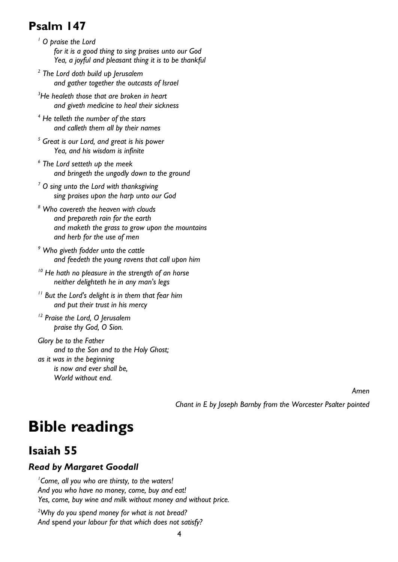# **Psalm 147**

- *<sup>1</sup> O praise the Lord for it is a good thing to sing praises unto our God Yea, a joyful and pleasant thing it is to be thankful*
- *2 The Lord doth build up Jerusalem and gather together the outcasts of Israel*
- *<sup>3</sup>He healeth those that are broken in heart and giveth medicine to heal their sickness*
- *<sup>4</sup> He telleth the number of the stars and calleth them all by their names*
- *<sup>5</sup> Great is our Lord, and great is his power Yea, and his wisdom is infinite*
- *6 The Lord setteth up the meek and bringeth the ungodly down to the ground*
- *<sup>7</sup> O sing unto the Lord with thanksgiving sing praises upon the harp unto our God*
- *<sup>8</sup> Who covereth the heaven with clouds and prepareth rain for the earth and maketh the grass to grow upon the mountains and herb for the use of men*
- *<sup>9</sup> Who giveth fodder unto the cattle and feedeth the young ravens that call upon him*
- *<sup>10</sup> He hath no pleasure in the strength of an horse neither delighteth he in any man's legs*
- *11 But the Lord's delight is in them that fear him and put their trust in his mercy*
- *12 Praise the Lord, O Jerusalem praise thy God, O Sion.*

*Glory be to the Father and to the Son and to the Holy Ghost; as it was in the beginning is now and ever shall be, World without end.*

*Amen*

*Chant in E by Joseph Barnby from the Worcester Psalter pointed*

# **Bible readings**

# **Isaiah 55**

#### *Read by Margaret Goodall*

*1 Come, all you who are thirsty, to the waters! And you who have no money, come, buy and eat! Yes, come, buy wine and milk without money and without price.*

*<sup>2</sup>Why do you spend money for what is not bread? And* spend *your labour for that which does not satisfy?*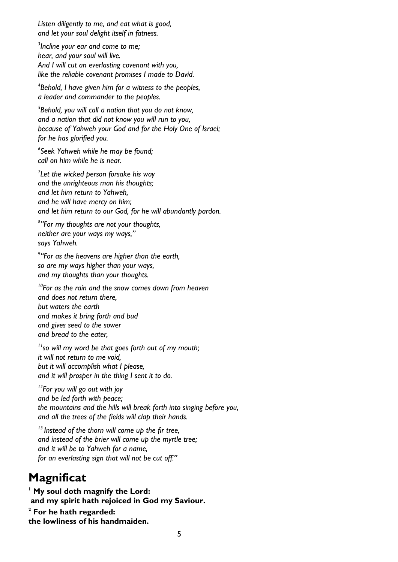*Listen diligently to me, and eat what is good, and let your soul delight itself in fatness.*

*3 Incline your ear and come to me; hear, and your soul will live. And I will cut an everlasting covenant with you, like the reliable covenant promises I made to David.*

*4 Behold, I have given him for a witness to the peoples, a leader and commander to the peoples.*

*5 Behold, you will call a nation that you do not know, and a nation that did not know you will run to you, because of Yahweh your God and for the Holy One of Israel; for he has glorified you.*

*6 Seek Yahweh while he may be found; call on him while he is near.*

*7 Let the wicked person forsake his way and the unrighteous man his thoughts; and let him return to Yahweh, and he will have mercy on him; and let him return to our God, for he will abundantly pardon.*

*8 "For my thoughts are not your thoughts, neither are your ways my ways," says Yahweh.*

*9 "For as the heavens are higher than the earth, so are my ways higher than your ways, and my thoughts than your thoughts.*

*<sup>10</sup>For as the rain and the snow comes down from heaven and does not return there, but waters the earth and makes it bring forth and bud and gives seed to the sower and bread to the eater,*

*<sup>11</sup>so will my word be that goes forth out of my mouth; it will not return to me void, but it will accomplish what I please, and it will prosper in the thing I sent it to do.*

*<sup>12</sup>For you will go out with joy and be led forth with peace; the mountains and the hills will break forth into singing before you, and all the trees of the fields will clap their hands.*

*13 Instead of the thorn will come up the fir tree, and instead of the brier will come up the myrtle tree; and it will be to Yahweh for a name, for an everlasting sign that will not be cut off."*

# **Magnificat**

**<sup>1</sup> My soul doth magnify the Lord: and my spirit hath rejoiced in God my Saviour. <sup>2</sup> For he hath regarded: the lowliness of his handmaiden.**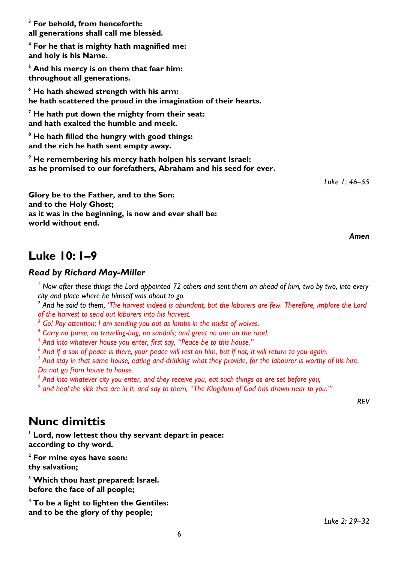**<sup>3</sup> For behold, from henceforth: all generations shall call me blessèd.**

**<sup>4</sup> For he that is mighty hath magnified me: and holy is his Name.**

**<sup>5</sup> And his mercy is on them that fear him: throughout all generations.**

**<sup>6</sup> He hath shewed strength with his arm: he hath scattered the proud in the imagination of their hearts.**

**<sup>7</sup> He hath put down the mighty from their seat: and hath exalted the humble and meek.**

**<sup>8</sup> He hath filled the hungry with good things: and the rich he hath sent empty away.**

**<sup>9</sup> He remembering his mercy hath holpen his servant Israel: as he promised to our forefathers, Abraham and his seed for ever.**

*Luke 1: 46–55*

**Glory be to the Father, and to the Son: and to the Holy Ghost; as it was in the beginning, is now and ever shall be: world without end.**

*Amen*

### **Luke 10: 1–9**

#### *Read by Richard May-Miller*

*<sup>1</sup> [Now after these things the Lord appointed 72 others and sent them on ahead of him, two by two, into every](https://www.revisedenglishversion.com/Luke/chapter10/1)  [city and place where he himself was about to go.](https://www.revisedenglishversion.com/Luke/chapter10/1)*

*2 And he said to them, 'The harvest indeed is abundant, but the laborers are few. Therefore, implore the Lord of the harvest to send out laborers into his harvest.*

*<sup>3</sup> [Go! Pay attention; I am sending you out as lambs in](https://www.revisedenglishversion.com/Luke/chapter10/3) the midst of wolves.*

*4 [Carry no purse, no traveling-bag, no sandals; and greet no one on the road.](https://www.revisedenglishversion.com/Luke/chapter10/4)*

*5 And into whatever house you enter, first say, "Peace be to this house."*

*6 And if a son of peace is there, your peace will rest on him, but if not, it will return to you again.*

*7 And stay in that same house, eating and drinking what they provide, for the labourer is worthy of his hire. Do not go from house to house.*

*8 And into whatever city you enter, and they receive you, eat such things as are set before you,*

*9 and heal the sick that are in it, and say to them, "The Kingdom of God has drawn near to you."'*

*REV*

### **Nunc dimittis**

**<sup>1</sup> Lord, now lettest thou thy servant depart in peace: according to thy word.**

**<sup>2</sup> For mine eyes have seen: thy salvation;**

**<sup>3</sup> Which thou hast prepared: Israel. before the face of all people;**

**<sup>4</sup> To be a light to lighten the Gentiles: and to be the glory of thy people;**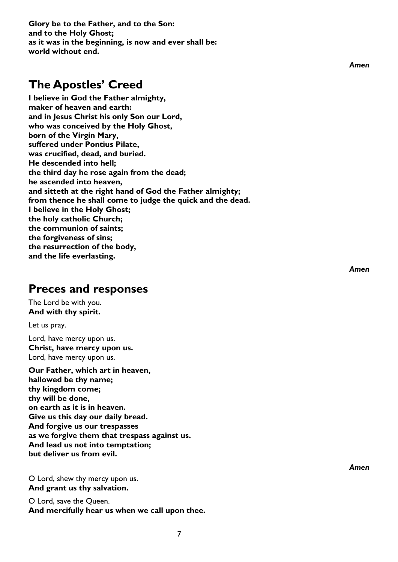**Glory be to the Father, and to the Son: and to the Holy Ghost; as it was in the beginning, is now and ever shall be: world without end.**

## **The Apostles' Creed**

**I believe in God the Father almighty, maker of heaven and earth: and in Jesus Christ his only Son our Lord, who was conceived by the Holy Ghost, born of the Virgin Mary, suffered under Pontius Pilate, was crucified, dead, and buried. He descended into hell; the third day he rose again from the dead; he ascended into heaven, and sitteth at the right hand of God the Father almighty; from thence he shall come to judge the quick and the dead. I believe in the Holy Ghost; the holy catholic Church; the communion of saints; the forgiveness of sins; the resurrection of the body, and the life everlasting.**

#### **Preces and responses**

The Lord be with you. **And with thy spirit.**

Let us pray.

Lord, have mercy upon us. **Christ, have mercy upon us.** Lord, have mercy upon us.

**Our Father, which art in heaven, hallowed be thy name; thy kingdom come; thy will be done, on earth as it is in heaven. Give us this day our daily bread. And forgive us our trespasses as we forgive them that trespass against us. And lead us not into temptation; but deliver us from evil.**

O Lord, shew thy mercy upon us. **And grant us thy salvation.**

O Lord, save the Queen. **And mercifully hear us when we call upon thee.** *Amen*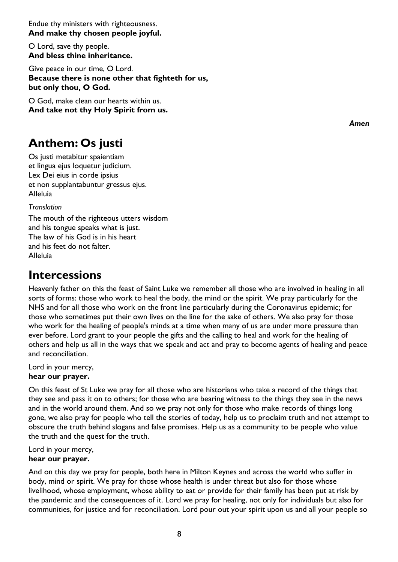Endue thy ministers with righteousness. **And make thy chosen people joyful.**

O Lord, save thy people. **And bless thine inheritance.**

Give peace in our time, O Lord. **Because there is none other that fighteth for us, but only thou, O God.**

O God, make clean our hearts within us. **And take not thy Holy Spirit from us.**

## **Anthem: Os justi**

Os justi metabitur spaientiam et lingua ejus loquetur judicium. Lex Dei eius in corde ipsius et non supplantabuntur gressus ejus. Alleluia

*Translation*

The mouth of the righteous utters wisdom and his tongue speaks what is just. The law of his God is in his heart and his feet do not falter. Alleluia

## **Intercessions**

Heavenly father on this the feast of Saint Luke we remember all those who are involved in healing in all sorts of forms: those who work to heal the body, the mind or the spirit. We pray particularly for the NHS and for all those who work on the front line particularly during the Coronavirus epidemic; for those who sometimes put their own lives on the line for the sake of others. We also pray for those who work for the healing of people's minds at a time when many of us are under more pressure than ever before. Lord grant to your people the gifts and the calling to heal and work for the healing of others and help us all in the ways that we speak and act and pray to become agents of healing and peace and reconciliation.

Lord in your mercy, **hear our prayer.**

On this feast of St Luke we pray for all those who are historians who take a record of the things that they see and pass it on to others; for those who are bearing witness to the things they see in the news and in the world around them. And so we pray not only for those who make records of things long gone, we also pray for people who tell the stories of today, help us to proclaim truth and not attempt to obscure the truth behind slogans and false promises. Help us as a community to be people who value the truth and the quest for the truth.

Lord in your mercy,

#### **hear our prayer.**

And on this day we pray for people, both here in Milton Keynes and across the world who suffer in body, mind or spirit. We pray for those whose health is under threat but also for those whose livelihood, whose employment, whose ability to eat or provide for their family has been put at risk by the pandemic and the consequences of it. Lord we pray for healing, not only for individuals but also for communities, for justice and for reconciliation. Lord pour out your spirit upon us and all your people so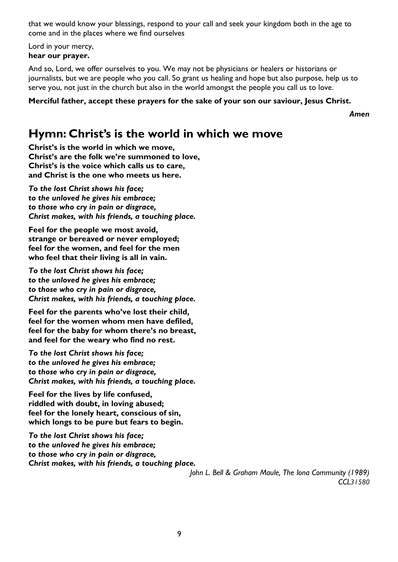that we would know your blessings, respond to your call and seek your kingdom both in the age to come and in the places where we find ourselves

Lord in your mercy, **hear our prayer.**

And so, Lord, we offer ourselves to you. We may not be physicians or healers or historians or journalists, but we are people who you call. So grant us healing and hope but also purpose, help us to serve you, not just in the church but also in the world amongst the people you call us to love.

**Merciful father, accept these prayers for the sake of your son our saviour, Jesus Christ.**

*Amen*

## **Hymn: Christ's is the world in which we move**

**Christ's is the world in which we move, Christ's are the folk we're summoned to love, Christ's is the voice which calls us to care, and Christ is the one who meets us here.**

*To the lost Christ shows his face; to the unloved he gives his embrace; to those who cry in pain or disgrace, Christ makes, with his friends, a touching place.*

**Feel for the people we most avoid, strange or bereaved or never employed; feel for the women, and feel for the men who feel that their living is all in vain.**

*To the lost Christ shows his face; to the unloved he gives his embrace; to those who cry in pain or disgrace, Christ makes, with his friends, a touching place.*

**Feel for the parents who've lost their child, feel for the women whom men have defiled, feel for the baby for whom there's no breast, and feel for the weary who find no rest.**

*To the lost Christ shows his face; to the unloved he gives his embrace; to those who cry in pain or disgrace, Christ makes, with his friends, a touching place.*

**Feel for the lives by life confused, riddled with doubt, in loving abused; feel for the lonely heart, conscious of sin, which longs to be pure but fears to begin.**

*To the lost Christ shows his face; to the unloved he gives his embrace; to those who cry in pain or disgrace, Christ makes, with his friends, a touching place.*

> *John L. Bell & Graham Maule, The Iona Community (1989) CCL31580*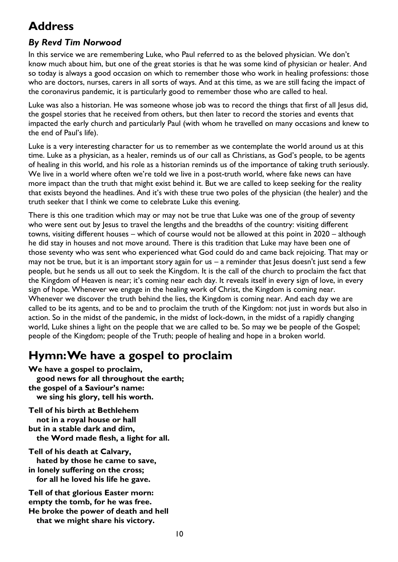# **Address**

#### *By Revd Tim Norwood*

In this service we are remembering Luke, who Paul referred to as the beloved physician. We don't know much about him, but one of the great stories is that he was some kind of physician or healer. And so today is always a good occasion on which to remember those who work in healing professions: those who are doctors, nurses, carers in all sorts of ways. And at this time, as we are still facing the impact of the coronavirus pandemic, it is particularly good to remember those who are called to heal.

Luke was also a historian. He was someone whose job was to record the things that first of all Jesus did, the gospel stories that he received from others, but then later to record the stories and events that impacted the early church and particularly Paul (with whom he travelled on many occasions and knew to the end of Paul's life).

Luke is a very interesting character for us to remember as we contemplate the world around us at this time. Luke as a physician, as a healer, reminds us of our call as Christians, as God's people, to be agents of healing in this world, and his role as a historian reminds us of the importance of taking truth seriously. We live in a world where often we're told we live in a post-truth world, where fake news can have more impact than the truth that might exist behind it. But we are called to keep seeking for the reality that exists beyond the headlines. And it's with these true two poles of the physician (the healer) and the truth seeker that I think we come to celebrate Luke this evening.

There is this one tradition which may or may not be true that Luke was one of the group of seventy who were sent out by Jesus to travel the lengths and the breadths of the country: visiting different towns, visiting different houses – which of course would not be allowed at this point in 2020 – although he did stay in houses and not move around. There is this tradition that Luke may have been one of those seventy who was sent who experienced what God could do and came back rejoicing. That may or may not be true, but it is an important story again for us – a reminder that Jesus doesn't just send a few people, but he sends us all out to seek the Kingdom. It is the call of the church to proclaim the fact that the Kingdom of Heaven is near; it's coming near each day. It reveals itself in every sign of love, in every sign of hope. Whenever we engage in the healing work of Christ, the Kingdom is coming near. Whenever we discover the truth behind the lies, the Kingdom is coming near. And each day we are called to be its agents, and to be and to proclaim the truth of the Kingdom: not just in words but also in action. So in the midst of the pandemic, in the midst of lock-down, in the midst of a rapidly changing world, Luke shines a light on the people that we are called to be. So may we be people of the Gospel; people of the Kingdom; people of the Truth; people of healing and hope in a broken world.

# **Hymn: We have a gospel to proclaim**

**We have a gospel to proclaim, good news for all throughout the earth; the gospel of a Saviour's name: we sing his glory, tell his worth.**

**Tell of his birth at Bethlehem not in a royal house or hall but in a stable dark and dim, the Word made flesh, a light for all.**

**Tell of his death at Calvary, hated by those he came to save, in lonely suffering on the cross; for all he loved his life he gave.**

**Tell of that glorious Easter morn: empty the tomb, for he was free. He broke the power of death and hell that we might share his victory.**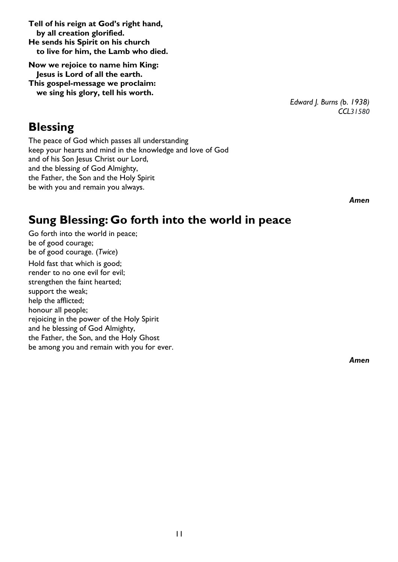**to live for him, the Lamb who died. Now we rejoice to name him King: Jesus is Lord of all the earth.**

**Tell of his reign at God's right hand,**

**by all creation glorified. He sends his Spirit on his church**

**This gospel-message we proclaim: we sing his glory, tell his worth.**

*Edward J. Burns (*b. *1938) CCL31580*

#### **Blessing**

The peace of God which passes all understanding keep your hearts and mind in the knowledge and love of God and of his Son Jesus Christ our Lord, and the blessing of God Almighty, the Father, the Son and the Holy Spirit be with you and remain you always.

*Amen*

## **Sung Blessing: Go forth into the world in peace**

Go forth into the world in peace; be of good courage; be of good courage. (*Twice*) Hold fast that which is good; render to no one evil for evil; strengthen the faint hearted; support the weak; help the afflicted; honour all people; rejoicing in the power of the Holy Spirit and he blessing of God Almighty, the Father, the Son, and the Holy Ghost be among you and remain with you for ever.